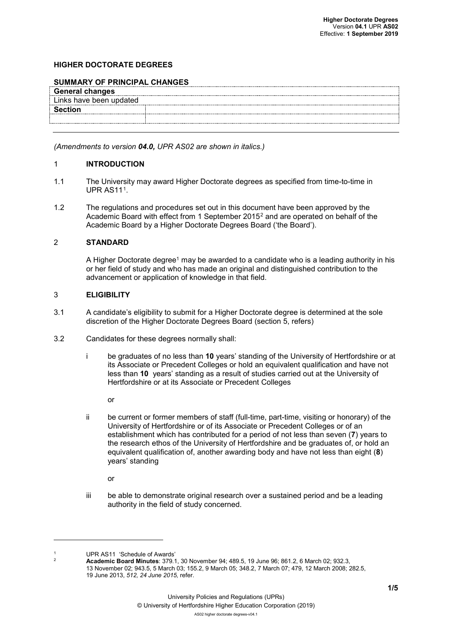### **HIGHER DOCTORATE DEGREES**

### **SUMMARY OF PRINCIPAL CHANGES**

| <b>General changes</b>  |
|-------------------------|
| Links have been updated |
|                         |
|                         |
|                         |

*(Amendments to version 04.0, UPR AS02 are shown in italics.)*

#### 1 **INTRODUCTION**

- 1.1 The University may award Higher Doctorate degrees as specified from time-to-time in UPR AS11<sup>1</sup>.
- 1.2 The regulations and procedures set out in this document have been approved by the Academic Board with effect from 1 September 2015[2](#page-0-1) and are operated on behalf of the Academic Board by a Higher Doctorate Degrees Board ('the Board').

#### 2 **STANDARD**

A Higher Doctorate degree<sup>1</sup> may be awarded to a candidate who is a leading authority in his or her field of study and who has made an original and distinguished contribution to the advancement or application of knowledge in that field.

### 3 **ELIGIBILITY**

- 3.1 A candidate's eligibility to submit for a Higher Doctorate degree is determined at the sole discretion of the Higher Doctorate Degrees Board (section 5, refers)
- 3.2 Candidates for these degrees normally shall:
	- i be graduates of no less than **10** years' standing of the University of Hertfordshire or at its Associate or Precedent Colleges or hold an equivalent qualification and have not less than **10** years' standing as a result of studies carried out at the University of Hertfordshire or at its Associate or Precedent Colleges

or

ii be current or former members of staff (full-time, part-time, visiting or honorary) of the University of Hertfordshire or of its Associate or Precedent Colleges or of an establishment which has contributed for a period of not less than seven (**7**) years to the research ethos of the University of Hertfordshire and be graduates of, or hold an equivalent qualification of, another awarding body and have not less than eight (**8**) years' standing

or

iii be able to demonstrate original research over a sustained period and be a leading authority in the field of study concerned.

<span id="page-0-1"></span><span id="page-0-0"></span><sup>1</sup> UPR AS11 'Schedule of Awards'

<u>.</u>

<sup>2</sup> **Academic Board Minutes**: 379.1, 30 November 94; 489.5, 19 June 96; 861.2, 6 March 02; 932.3, 13 November 02; 943.5, 5 March 03; 155.2, 9 March 05; 348.2, 7 March 07; 479, 12 March 2008; 282.5, 19 June 2013, *512, 24 June 2015,* refer.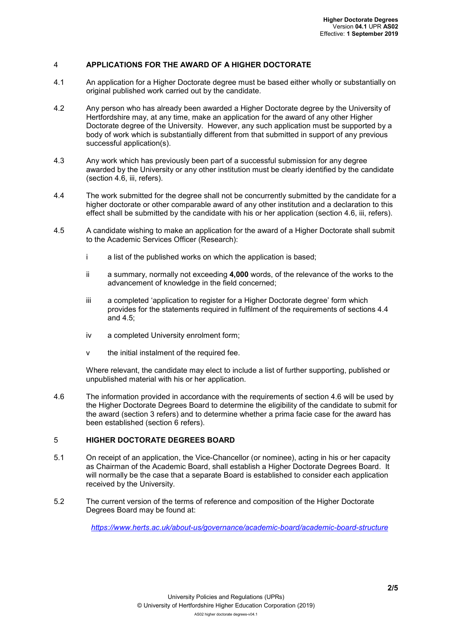## 4 **APPLICATIONS FOR THE AWARD OF A HIGHER DOCTORATE**

- 4.1 An application for a Higher Doctorate degree must be based either wholly or substantially on original published work carried out by the candidate.
- 4.2 Any person who has already been awarded a Higher Doctorate degree by the University of Hertfordshire may, at any time, make an application for the award of any other Higher Doctorate degree of the University. However, any such application must be supported by a body of work which is substantially different from that submitted in support of any previous successful application(s).
- 4.3 Any work which has previously been part of a successful submission for any degree awarded by the University or any other institution must be clearly identified by the candidate (section 4.6, iii, refers).
- 4.4 The work submitted for the degree shall not be concurrently submitted by the candidate for a higher doctorate or other comparable award of any other institution and a declaration to this effect shall be submitted by the candidate with his or her application (section 4.6, iii, refers).
- 4.5 A candidate wishing to make an application for the award of a Higher Doctorate shall submit to the Academic Services Officer (Research):
	- i a list of the published works on which the application is based;
	- ii a summary, normally not exceeding **4,000** words, of the relevance of the works to the advancement of knowledge in the field concerned;
	- iii a completed 'application to register for a Higher Doctorate degree' form which provides for the statements required in fulfilment of the requirements of sections 4.4 and 4.5;
	- iv a completed University enrolment form;
	- v the initial instalment of the required fee.

Where relevant, the candidate may elect to include a list of further supporting, published or unpublished material with his or her application.

4.6 The information provided in accordance with the requirements of section 4.6 will be used by the Higher Doctorate Degrees Board to determine the eligibility of the candidate to submit for the award (section 3 refers) and to determine whether a prima facie case for the award has been established (section 6 refers).

## 5 **HIGHER DOCTORATE DEGREES BOARD**

- 5.1 On receipt of an application, the Vice-Chancellor (or nominee), acting in his or her capacity as Chairman of the Academic Board, shall establish a Higher Doctorate Degrees Board. It will normally be the case that a separate Board is established to consider each application received by the University.
- 5.2 The current version of the terms of reference and composition of the Higher Doctorate Degrees Board may be found at:

*<https://www.herts.ac.uk/about-us/governance/academic-board/academic-board-structure>*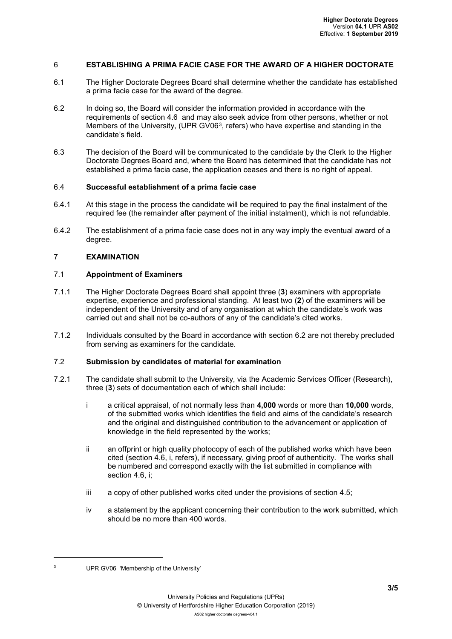### 6 **ESTABLISHING A PRIMA FACIE CASE FOR THE AWARD OF A HIGHER DOCTORATE**

- 6.1 The Higher Doctorate Degrees Board shall determine whether the candidate has established a prima facie case for the award of the degree.
- 6.2 In doing so, the Board will consider the information provided in accordance with the requirements of section 4.6 and may also seek advice from other persons, whether or not Members of the University, (UPR GV06<sup>[3](#page-2-0)</sup>, refers) who have expertise and standing in the candidate's field.
- 6.3 The decision of the Board will be communicated to the candidate by the Clerk to the Higher Doctorate Degrees Board and, where the Board has determined that the candidate has not established a prima facia case, the application ceases and there is no right of appeal.

#### 6.4 **Successful establishment of a prima facie case**

- 6.4.1 At this stage in the process the candidate will be required to pay the final instalment of the required fee (the remainder after payment of the initial instalment), which is not refundable.
- 6.4.2 The establishment of a prima facie case does not in any way imply the eventual award of a degree.

### 7 **EXAMINATION**

### 7.1 **Appointment of Examiners**

- 7.1.1 The Higher Doctorate Degrees Board shall appoint three (**3**) examiners with appropriate expertise, experience and professional standing. At least two (**2**) of the examiners will be independent of the University and of any organisation at which the candidate's work was carried out and shall not be co-authors of any of the candidate's cited works.
- 7.1.2 Individuals consulted by the Board in accordance with section 6.2 are not thereby precluded from serving as examiners for the candidate.

# 7.2 **Submission by candidates of material for examination**

- 7.2.1 The candidate shall submit to the University, via the Academic Services Officer (Research), three (**3**) sets of documentation each of which shall include:
	- i a critical appraisal, of not normally less than **4,000** words or more than **10,000** words, of the submitted works which identifies the field and aims of the candidate's research and the original and distinguished contribution to the advancement or application of knowledge in the field represented by the works;
	- ii an offprint or high quality photocopy of each of the published works which have been cited (section 4.6, i, refers), if necessary, giving proof of authenticity. The works shall be numbered and correspond exactly with the list submitted in compliance with section 4.6, i;
	- iii a copy of other published works cited under the provisions of section 4.5;
	- iv a statement by the applicant concerning their contribution to the work submitted, which should be no more than 400 words.

<span id="page-2-0"></span>-

UPR GV06 'Membership of the University'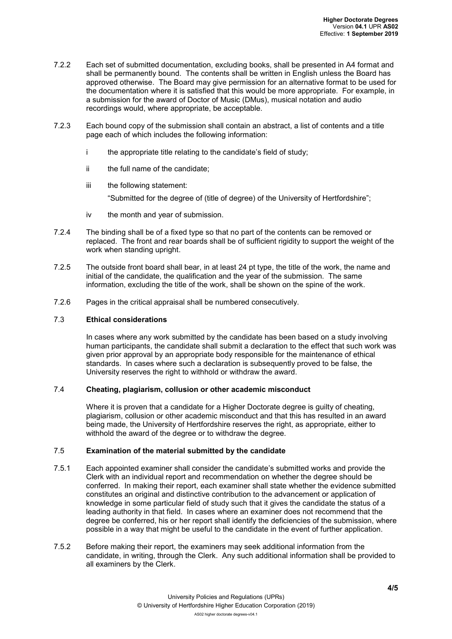- 7.2.2 Each set of submitted documentation, excluding books, shall be presented in A4 format and shall be permanently bound. The contents shall be written in English unless the Board has approved otherwise. The Board may give permission for an alternative format to be used for the documentation where it is satisfied that this would be more appropriate. For example, in a submission for the award of Doctor of Music (DMus), musical notation and audio recordings would, where appropriate, be acceptable.
- 7.2.3 Each bound copy of the submission shall contain an abstract, a list of contents and a title page each of which includes the following information:
	- i the appropriate title relating to the candidate's field of study;
	- ii the full name of the candidate;
	- iii the following statement: "Submitted for the degree of (title of degree) of the University of Hertfordshire";
	- iv the month and year of submission.
- 7.2.4 The binding shall be of a fixed type so that no part of the contents can be removed or replaced. The front and rear boards shall be of sufficient rigidity to support the weight of the work when standing upright.
- 7.2.5 The outside front board shall bear, in at least 24 pt type, the title of the work, the name and initial of the candidate, the qualification and the year of the submission. The same information, excluding the title of the work, shall be shown on the spine of the work.
- 7.2.6 Pages in the critical appraisal shall be numbered consecutively.

### 7.3 **Ethical considerations**

In cases where any work submitted by the candidate has been based on a study involving human participants, the candidate shall submit a declaration to the effect that such work was given prior approval by an appropriate body responsible for the maintenance of ethical standards. In cases where such a declaration is subsequently proved to be false, the University reserves the right to withhold or withdraw the award.

## 7.4 **Cheating, plagiarism, collusion or other academic misconduct**

Where it is proven that a candidate for a Higher Doctorate degree is guilty of cheating, plagiarism, collusion or other academic misconduct and that this has resulted in an award being made, the University of Hertfordshire reserves the right, as appropriate, either to withhold the award of the degree or to withdraw the degree.

## 7.5 **Examination of the material submitted by the candidate**

- 7.5.1 Each appointed examiner shall consider the candidate's submitted works and provide the Clerk with an individual report and recommendation on whether the degree should be conferred. In making their report, each examiner shall state whether the evidence submitted constitutes an original and distinctive contribution to the advancement or application of knowledge in some particular field of study such that it gives the candidate the status of a leading authority in that field. In cases where an examiner does not recommend that the degree be conferred, his or her report shall identify the deficiencies of the submission, where possible in a way that might be useful to the candidate in the event of further application.
- 7.5.2 Before making their report, the examiners may seek additional information from the candidate, in writing, through the Clerk. Any such additional information shall be provided to all examiners by the Clerk.